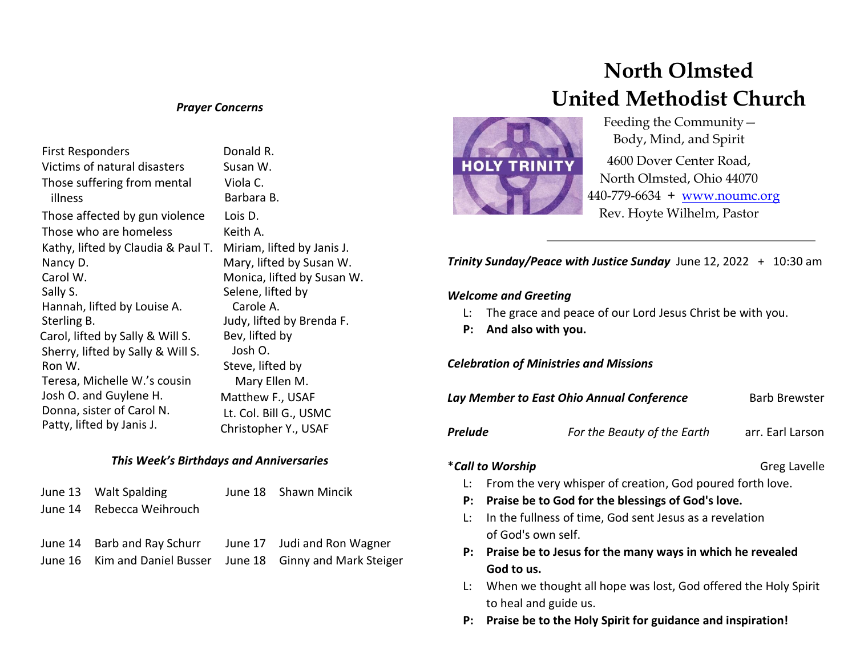#### *Prayer Concerns*

| <b>First Responders</b>                | Donald                     |
|----------------------------------------|----------------------------|
| Victims of natural disasters           | Susan W                    |
| Those suffering from mental<br>illness | Viola C.<br><b>Barbara</b> |
| Those affected by gun violence         | Lois D.                    |
| Those who are homeless                 | Keith A.                   |
| Kathy, lifted by Claudia & Paul T.     | Miriam,                    |
| Nancy D.                               | Mary, li                   |
| Carol W.                               | Monica,                    |
| Sally S.                               | Selene,                    |
| Hannah, lifted by Louise A.            | Carole                     |
| Sterling B.                            | Judy, lift                 |
| Carol, lifted by Sally & Will S.       | Bev, lift                  |
| Sherry, lifted by Sally & Will S.      | Josh C                     |
| Ron W.                                 | Steve, li                  |
| Teresa, Michelle W.'s cousin           | Mary                       |
| Josh O. and Guylene H.                 | Matthev                    |
| Donna, sister of Carol N.              | Lt. Col. I                 |
| Patty, lifted by Janis J.              | Christop                   |

 $b$ nald R. san W. Viola C. Barbara B. iriam, lifted by Janis J. ary, lifted by Susan W. onica, lifted by Susan W. lene, lifted by Carole A. dy, lifted by Brenda F. v, lifted by osh O. eve, lifted by Mary Ellen M. atthew F., USAF Col. Bill G., USMC ristopher Y., USAF

#### *This Week's Birthdays and Anniversaries*

| June 13 Walt Spalding                                   | June 18 Shawn Mincik                                         |
|---------------------------------------------------------|--------------------------------------------------------------|
| June 14 Rebecca Weihrouch                               |                                                              |
|                                                         |                                                              |
| June 14 Barb and Ray Schurr June 17 Judi and Ron Wagner |                                                              |
|                                                         | June 16 Kim and Daniel Busser June 18 Ginny and Mark Steiger |

# **North Olmsted United Methodist Church**



 Feeding the Community— Body, Mind, and Spirit

4600 Dover Center Road, North Olmsted, Ohio 44070 440-779-6634 + [www.noumc.org](http://www.noumc.org/) Rev. Hoyte Wilhelm, Pastor

*Trinity Sunday/Peace with Justice Sunday* June 12, 2022 + 10:30 am

#### *Welcome and Greeting*

- L: The grace and peace of our Lord Jesus Christ be with you.
- **P: And also with you.**

*Celebration of Ministries and Missions*

| Lay Member to East Ohio Annual Conference |                             | <b>Barb Brewster</b> |
|-------------------------------------------|-----------------------------|----------------------|
| <b>Prelude</b>                            | For the Beauty of the Earth | arr. Earl Larson     |

## \***Call to Worship Greg Lavelle**

- L: From the very whisper of creation, God poured forth love.
- **P: Praise be to God for the blessings of God's love.**
- L: In the fullness of time, God sent Jesus as a revelation of God's own self.
- **P: Praise be to Jesus for the many ways in which he revealed God to us.**
- L: When we thought all hope was lost, God offered the Holy Spirit to heal and guide us.
- **P: Praise be to the Holy Spirit for guidance and inspiration!**